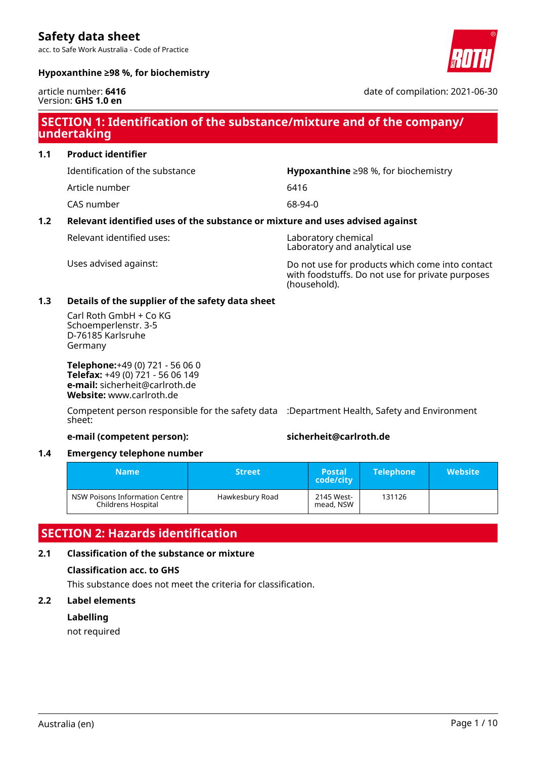acc. to Safe Work Australia - Code of Practice



### **Hypoxanthine ≥98 %, for biochemistry**

#### article number: **6416** Version: **GHS 1.0 en**

date of compilation: 2021-06-30

### **SECTION 1: Identification of the substance/mixture and of the company/ undertaking**

**1.1 Product identifier**

Identification of the substance **Hypoxanthine** ≥98 %, for biochemistry

Article number 6416

CAS number 68-94-0

### **1.2 Relevant identified uses of the substance or mixture and uses advised against**

Relevant identified uses: Laboratory chemical

Laboratory and analytical use

Uses advised against: Do not use for products which come into contact with foodstuffs. Do not use for private purposes (household).

### **1.3 Details of the supplier of the safety data sheet**

Carl Roth GmbH + Co KG Schoemperlenstr. 3-5 D-76185 Karlsruhe Germany

**Telephone:**+49 (0) 721 - 56 06 0 **Telefax:** +49 (0) 721 - 56 06 149 **e-mail:** sicherheit@carlroth.de **Website:** www.carlroth.de

Competent person responsible for the safety data :Department Health, Safety and Environment sheet:

### **e-mail (competent person): sicherheit@carlroth.de**

### **1.4 Emergency telephone number**

| <b>Name</b>                                          | <b>Street</b>   | <b>Postal</b><br>code/city | <b>Telephone</b> | <b>Website</b> |
|------------------------------------------------------|-----------------|----------------------------|------------------|----------------|
| NSW Poisons Information Centre<br>Childrens Hospital | Hawkesbury Road | 2145 West-<br>mead, NSW    | 131126           |                |

### **SECTION 2: Hazards identification**

### **2.1 Classification of the substance or mixture**

### **Classification acc. to GHS**

This substance does not meet the criteria for classification.

### **2.2 Label elements**

### **Labelling**

not required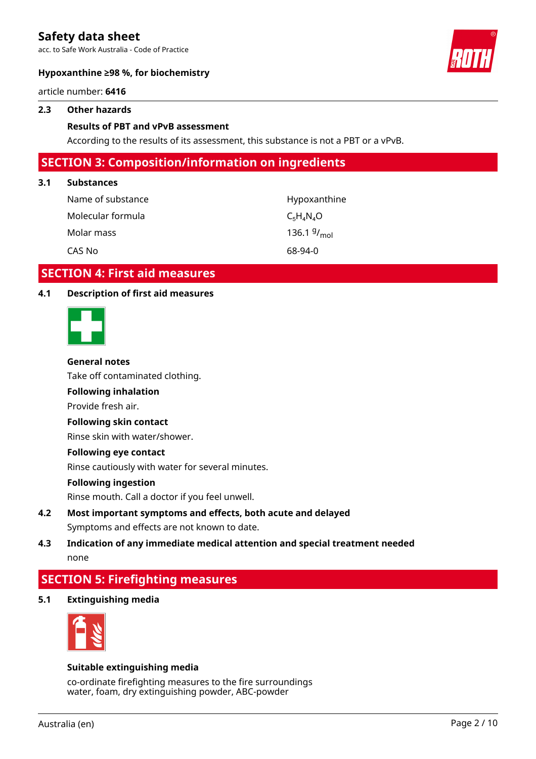acc. to Safe Work Australia - Code of Practice



### **Hypoxanthine ≥98 %, for biochemistry**

article number: **6416**

### **2.3 Other hazards**

### **Results of PBT and vPvB assessment**

According to the results of its assessment, this substance is not a PBT or a vPvB.

### **SECTION 3: Composition/information on ingredients**

#### **3.1 Substances**

| Name of substance | Hypoxanthine     |
|-------------------|------------------|
| Molecular formula | $C_5H_4N_4O$     |
| Molar mass        | 136.1 $9/_{mol}$ |
| CAS No            | 68-94-0          |

### **SECTION 4: First aid measures**

### **4.1 Description of first aid measures**



#### **General notes**

Take off contaminated clothing.

### **Following inhalation**

Provide fresh air.

### **Following skin contact**

Rinse skin with water/shower.

#### **Following eye contact**

Rinse cautiously with water for several minutes.

#### **Following ingestion**

Rinse mouth. Call a doctor if you feel unwell.

### **4.2 Most important symptoms and effects, both acute and delayed** Symptoms and effects are not known to date.

### **4.3 Indication of any immediate medical attention and special treatment needed** none

### **SECTION 5: Firefighting measures**

**5.1 Extinguishing media**



#### **Suitable extinguishing media**

co-ordinate firefighting measures to the fire surroundings water, foam, dry extinguishing powder, ABC-powder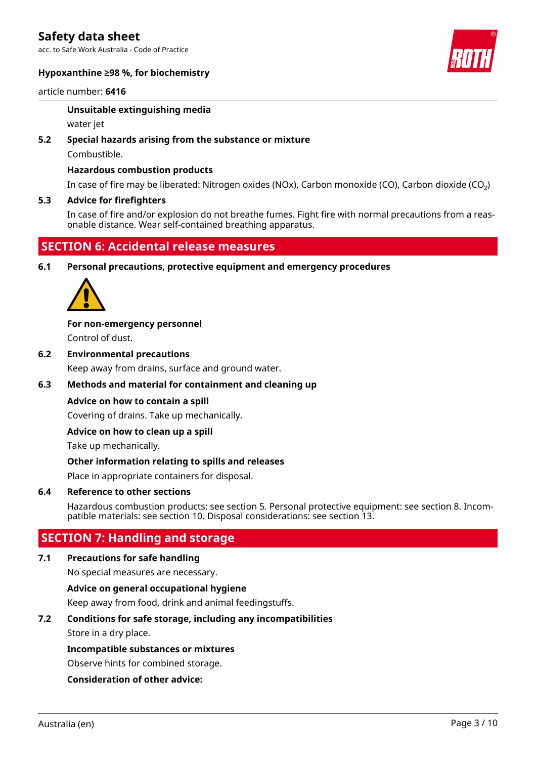acc. to Safe Work Australia - Code of Practice

### **Hypoxanthine ≥98 %, for biochemistry**



#### article number: **6416**

#### **Unsuitable extinguishing media**

water jet

### **5.2 Special hazards arising from the substance or mixture**

Combustible.

### **Hazardous combustion products**

In case of fire may be liberated: Nitrogen oxides (NOx), Carbon monoxide (CO), Carbon dioxide (CO₂)

### **5.3 Advice for firefighters**

In case of fire and/or explosion do not breathe fumes. Fight fire with normal precautions from a reasonable distance. Wear self-contained breathing apparatus.

### **SECTION 6: Accidental release measures**

**6.1 Personal precautions, protective equipment and emergency procedures**



**For non-emergency personnel** Control of dust.

**6.2 Environmental precautions** Keep away from drains, surface and ground water.

### **6.3 Methods and material for containment and cleaning up**

### **Advice on how to contain a spill**

Covering of drains. Take up mechanically.

### **Advice on how to clean up a spill**

Take up mechanically.

### **Other information relating to spills and releases**

Place in appropriate containers for disposal.

### **6.4 Reference to other sections**

Hazardous combustion products: see section 5. Personal protective equipment: see section 8. Incompatible materials: see section 10. Disposal considerations: see section 13.

### **SECTION 7: Handling and storage**

### **7.1 Precautions for safe handling**

No special measures are necessary.

### **Advice on general occupational hygiene**

Keep away from food, drink and animal feedingstuffs.

### **7.2 Conditions for safe storage, including any incompatibilities**

Store in a dry place.

### **Incompatible substances or mixtures**

Observe hints for combined storage.

### **Consideration of other advice:**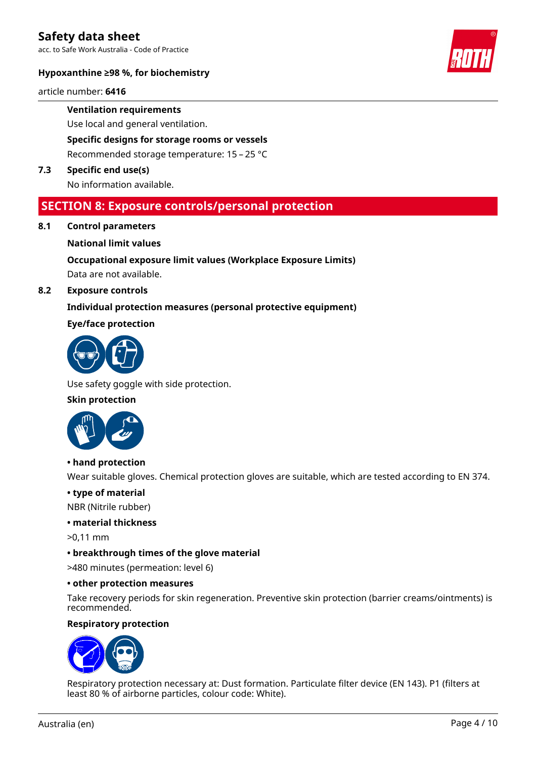acc. to Safe Work Australia - Code of Practice

### **Hypoxanthine ≥98 %, for biochemistry**

article number: **6416**

**Ventilation requirements**

Use local and general ventilation.

**Specific designs for storage rooms or vessels**

Recommended storage temperature: 15 – 25 °C

**7.3 Specific end use(s)**

No information available.

### **SECTION 8: Exposure controls/personal protection**

**8.1 Control parameters**

### **National limit values**

### **Occupational exposure limit values (Workplace Exposure Limits)**

Data are not available.

### **8.2 Exposure controls**

### **Individual protection measures (personal protective equipment)**

### **Eye/face protection**



Use safety goggle with side protection.

### **Skin protection**



#### **• hand protection**

Wear suitable gloves. Chemical protection gloves are suitable, which are tested according to EN 374.

### **• type of material**

NBR (Nitrile rubber)

### **• material thickness**

>0,11 mm

### **• breakthrough times of the glove material**

>480 minutes (permeation: level 6)

### **• other protection measures**

Take recovery periods for skin regeneration. Preventive skin protection (barrier creams/ointments) is recommended.

### **Respiratory protection**



Respiratory protection necessary at: Dust formation. Particulate filter device (EN 143). P1 (filters at least 80 % of airborne particles, colour code: White).

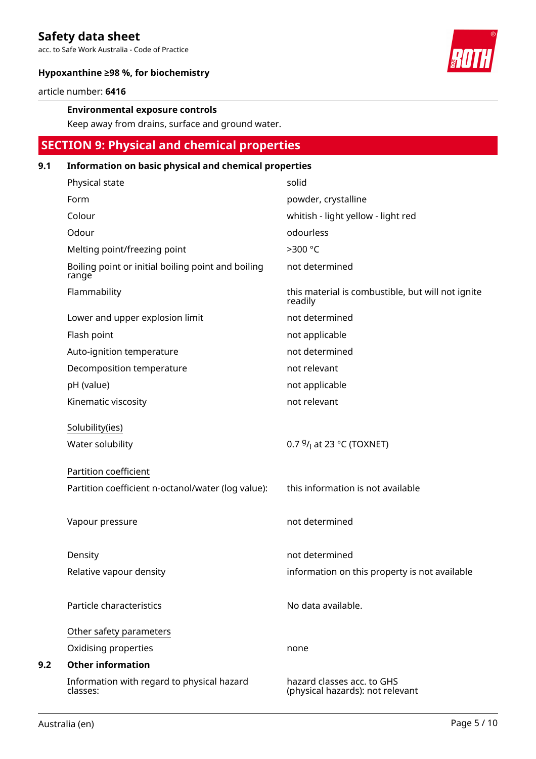acc. to Safe Work Australia - Code of Practice



### **Hypoxanthine ≥98 %, for biochemistry**

article number: **6416**

### **Environmental exposure controls**

Keep away from drains, surface and ground water.

### **SECTION 9: Physical and chemical properties**

### **9.1 Information on basic physical and chemical properties**

| Physical state                                              | solid                                                          |
|-------------------------------------------------------------|----------------------------------------------------------------|
| Form                                                        | powder, crystalline                                            |
| Colour                                                      | whitish - light yellow - light red                             |
| Odour                                                       | odourless                                                      |
| Melting point/freezing point                                | >300 °C                                                        |
| Boiling point or initial boiling point and boiling<br>range | not determined                                                 |
| Flammability                                                | this material is combustible, but will not ignite<br>readily   |
| Lower and upper explosion limit                             | not determined                                                 |
| Flash point                                                 | not applicable                                                 |
| Auto-ignition temperature                                   | not determined                                                 |
| Decomposition temperature                                   | not relevant                                                   |
| pH (value)                                                  | not applicable                                                 |
| Kinematic viscosity                                         | not relevant                                                   |
|                                                             |                                                                |
| Solubility(ies)                                             | 0.7 $9/1$ at 23 °C (TOXNET)                                    |
| Water solubility                                            |                                                                |
| Partition coefficient                                       |                                                                |
| Partition coefficient n-octanol/water (log value):          | this information is not available                              |
|                                                             |                                                                |
| Vapour pressure                                             | not determined                                                 |
|                                                             |                                                                |
| Density                                                     | not determined                                                 |
| Relative vapour density                                     | information on this property is not available                  |
|                                                             |                                                                |
| Particle characteristics                                    | No data available.                                             |
|                                                             |                                                                |
| Other safety parameters                                     |                                                                |
| Oxidising properties                                        | none                                                           |
| <b>Other information</b>                                    |                                                                |
| Information with regard to physical hazard<br>classes:      | hazard classes acc. to GHS<br>(physical hazards): not relevant |

**9.2 Other information**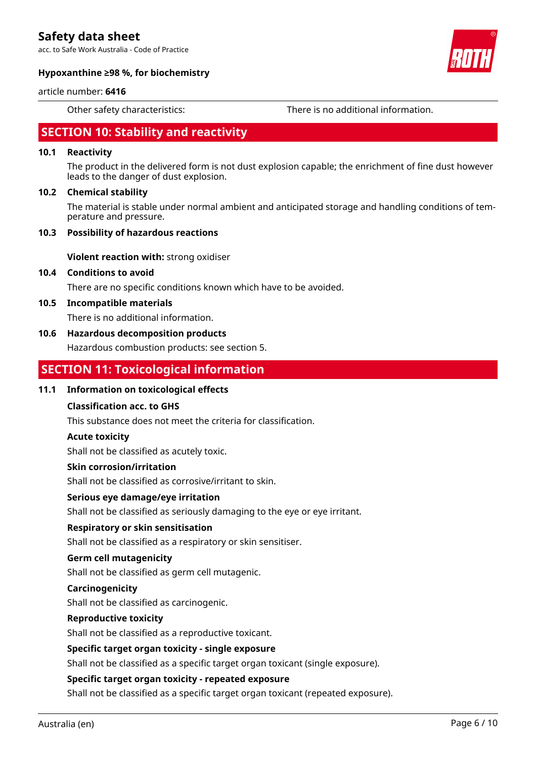acc. to Safe Work Australia - Code of Practice



### **Hypoxanthine ≥98 %, for biochemistry**

#### article number: **6416**

Other safety characteristics: There is no additional information.

### **SECTION 10: Stability and reactivity**

### **10.1 Reactivity**

The product in the delivered form is not dust explosion capable; the enrichment of fine dust however leads to the danger of dust explosion.

### **10.2 Chemical stability**

The material is stable under normal ambient and anticipated storage and handling conditions of temperature and pressure.

#### **10.3 Possibility of hazardous reactions**

**Violent reaction with:** strong oxidiser

### **10.4 Conditions to avoid**

There are no specific conditions known which have to be avoided.

#### **10.5 Incompatible materials**

There is no additional information.

### **10.6 Hazardous decomposition products**

Hazardous combustion products: see section 5.

### **SECTION 11: Toxicological information**

### **11.1 Information on toxicological effects**

### **Classification acc. to GHS**

This substance does not meet the criteria for classification.

### **Acute toxicity**

Shall not be classified as acutely toxic.

#### **Skin corrosion/irritation**

Shall not be classified as corrosive/irritant to skin.

### **Serious eye damage/eye irritation**

Shall not be classified as seriously damaging to the eye or eye irritant.

### **Respiratory or skin sensitisation**

Shall not be classified as a respiratory or skin sensitiser.

#### **Germ cell mutagenicity**

Shall not be classified as germ cell mutagenic.

#### **Carcinogenicity**

Shall not be classified as carcinogenic.

#### **Reproductive toxicity**

Shall not be classified as a reproductive toxicant.

### **Specific target organ toxicity - single exposure**

Shall not be classified as a specific target organ toxicant (single exposure).

### **Specific target organ toxicity - repeated exposure**

Shall not be classified as a specific target organ toxicant (repeated exposure).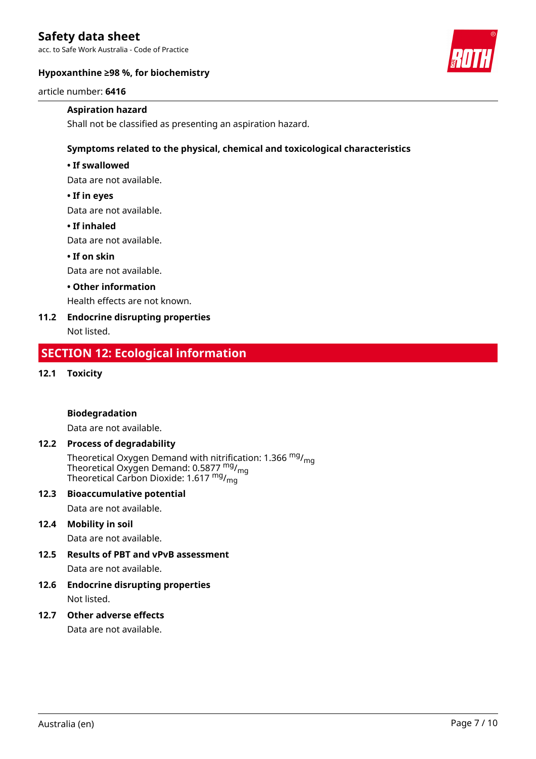acc. to Safe Work Australia - Code of Practice



### **Hypoxanthine ≥98 %, for biochemistry**

article number: **6416**

### **Aspiration hazard**

Shall not be classified as presenting an aspiration hazard.

### **Symptoms related to the physical, chemical and toxicological characteristics**

### **• If swallowed**

Data are not available.

### **• If in eyes**

Data are not available.

### **• If inhaled**

Data are not available.

### **• If on skin**

Data are not available.

### **• Other information**

Health effects are not known.

### **11.2 Endocrine disrupting properties**

Not listed.

### **SECTION 12: Ecological information**

**12.1 Toxicity**

### **Biodegradation**

Data are not available.

### **12.2 Process of degradability**

Theoretical Oxygen Demand with nitr<u>if</u>ication: 1.366 <sup>mg</sup>/<sub>mg</sub> Theoretical Oxygen Demand: 0.5877 <sup>mg</sup>/<sub>mg</sub> Theoretical Carbon Dioxide: 1.617 <sup>mg</sup>/<sub>mg</sub>

### **12.3 Bioaccumulative potential**

Data are not available.

### **12.4 Mobility in soil**

Data are not available.

### **12.5 Results of PBT and vPvB assessment**

Data are not available.

**12.6 Endocrine disrupting properties** Not listed.

### **12.7 Other adverse effects**

Data are not available.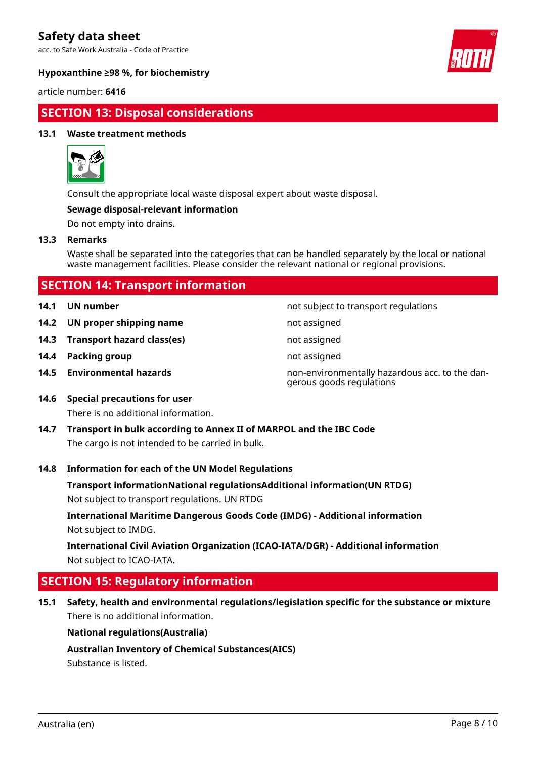acc. to Safe Work Australia - Code of Practice



### **Hypoxanthine ≥98 %, for biochemistry**

article number: **6416**

### **SECTION 13: Disposal considerations**

### **13.1 Waste treatment methods**



Consult the appropriate local waste disposal expert about waste disposal.

### **Sewage disposal-relevant information**

Do not empty into drains.

### **13.3 Remarks**

Waste shall be separated into the categories that can be handled separately by the local or national waste management facilities. Please consider the relevant national or regional provisions.

| <b>SECTION 14: Transport information</b> |  |
|------------------------------------------|--|
|                                          |  |

- 
- **14.2 UN proper shipping name** not assigned
- **14.3 Transport hazard class(es)** not assigned
- **14.4 Packing group not assigned not assigned**
- 

**14.1 UN number 14.1 UN number not subject to transport regulations** 

- 
- 
- 
- **14.5 Environmental hazards** non-environmentally hazardous acc. to the dangerous goods regulations
- **14.6 Special precautions for user** There is no additional information.
- **14.7 Transport in bulk according to Annex II of MARPOL and the IBC Code** The cargo is not intended to be carried in bulk.

### **14.8 Information for each of the UN Model Regulations**

**Transport informationNational regulationsAdditional information(UN RTDG)**

Not subject to transport regulations. UN RTDG

**International Maritime Dangerous Goods Code (IMDG) - Additional information** Not subject to IMDG.

**International Civil Aviation Organization (ICAO-IATA/DGR) - Additional information** Not subject to ICAO-IATA.

### **SECTION 15: Regulatory information**

**15.1 Safety, health and environmental regulations/legislation specific for the substance or mixture** There is no additional information.

### **National regulations(Australia)**

**Australian Inventory of Chemical Substances(AICS)**

Substance is listed.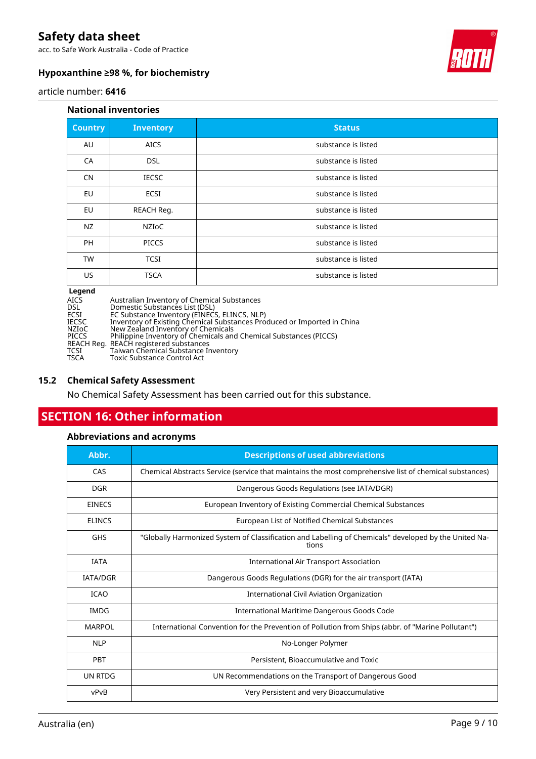acc. to Safe Work Australia - Code of Practice



### **Hypoxanthine ≥98 %, for biochemistry**

article number: **6416**

#### **National inventories**

| <b>Country</b> | <b>Inventory</b> | <b>Status</b>       |
|----------------|------------------|---------------------|
| AU             | <b>AICS</b>      | substance is listed |
| CA             | <b>DSL</b>       | substance is listed |
| <b>CN</b>      | <b>IECSC</b>     | substance is listed |
| EU             | ECSI             | substance is listed |
| EU             | REACH Reg.       | substance is listed |
| <b>NZ</b>      | <b>NZIOC</b>     | substance is listed |
| PH             | <b>PICCS</b>     | substance is listed |
| <b>TW</b>      | <b>TCSI</b>      | substance is listed |
| <b>US</b>      | <b>TSCA</b>      | substance is listed |

# **Legend**<br>AICS<br>DSL<br>ECSI<br>ECSC

Australian Inventory of Chemical Substances

DSL Domestic Substances List (DSL)

ECSI EC Substance Inventory (EINECS, ELINCS, NLP)

IECSC Inventory of Existing Chemical Substances Produced or Imported in China

NZIoC New Zealand Inventory of Chemicals

PICCS Philippine Inventory of Chemicals and Chemical Substances (PICCS)

REACH Reg. REACH registered substances TCSI Taiwan Chemical Substance Inventory

TSCA Toxic Substance Control Act

### **15.2 Chemical Safety Assessment**

No Chemical Safety Assessment has been carried out for this substance.

### **SECTION 16: Other information**

### **Abbreviations and acronyms**

| Abbr.           | <b>Descriptions of used abbreviations</b>                                                                      |  |
|-----------------|----------------------------------------------------------------------------------------------------------------|--|
| CAS             | Chemical Abstracts Service (service that maintains the most comprehensive list of chemical substances)         |  |
| <b>DGR</b>      | Dangerous Goods Regulations (see IATA/DGR)                                                                     |  |
| <b>EINECS</b>   | European Inventory of Existing Commercial Chemical Substances                                                  |  |
| <b>ELINCS</b>   | European List of Notified Chemical Substances                                                                  |  |
| <b>GHS</b>      | "Globally Harmonized System of Classification and Labelling of Chemicals" developed by the United Na-<br>tions |  |
| <b>IATA</b>     | <b>International Air Transport Association</b>                                                                 |  |
| <b>IATA/DGR</b> | Dangerous Goods Regulations (DGR) for the air transport (IATA)                                                 |  |
| <b>ICAO</b>     | International Civil Aviation Organization                                                                      |  |
| <b>IMDG</b>     | International Maritime Dangerous Goods Code                                                                    |  |
| <b>MARPOL</b>   | International Convention for the Prevention of Pollution from Ships (abbr. of "Marine Pollutant")              |  |
| <b>NLP</b>      | No-Longer Polymer                                                                                              |  |
| <b>PBT</b>      | Persistent, Bioaccumulative and Toxic                                                                          |  |
| UN RTDG         | UN Recommendations on the Transport of Dangerous Good                                                          |  |
| vPvB            | Very Persistent and very Bioaccumulative                                                                       |  |